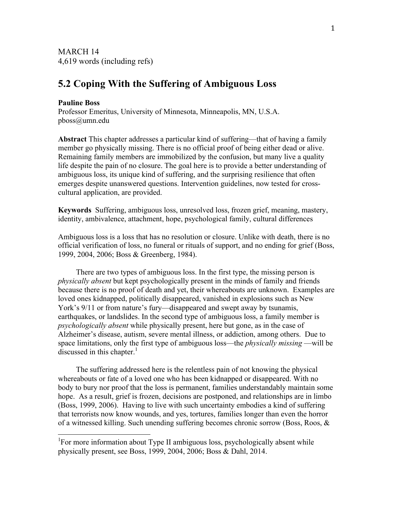# **5.2 Coping With the Suffering of Ambiguous Loss**

### **Pauline Boss**

Professor Emeritus, University of Minnesota, Minneapolis, MN, U.S.A. pboss@umn.edu

**Abstract** This chapter addresses a particular kind of suffering—that of having a family member go physically missing. There is no official proof of being either dead or alive. Remaining family members are immobilized by the confusion, but many live a quality life despite the pain of no closure. The goal here is to provide a better understanding of ambiguous loss, its unique kind of suffering, and the surprising resilience that often emerges despite unanswered questions. Intervention guidelines, now tested for crosscultural application, are provided.

**Keywords** Suffering, ambiguous loss, unresolved loss, frozen grief, meaning, mastery, identity, ambivalence, attachment, hope, psychological family, cultural differences

Ambiguous loss is a loss that has no resolution or closure. Unlike with death, there is no official verification of loss, no funeral or rituals of support, and no ending for grief (Boss, 1999, 2004, 2006; Boss & Greenberg, 1984).

There are two types of ambiguous loss. In the first type, the missing person is *physically absent* but kept psychologically present in the minds of family and friends because there is no proof of death and yet, their whereabouts are unknown. Examples are loved ones kidnapped, politically disappeared, vanished in explosions such as New York's 9/11 or from nature's fury—disappeared and swept away by tsunamis, earthquakes, or landslides. In the second type of ambiguous loss, a family member is *psychologically absent* while physically present, here but gone, as in the case of Alzheimer's disease, autism, severe mental illness, or addiction, among others. Due to space limitations, only the first type of ambiguous loss—the *physically missing* —will be discussed in this chapter. $\frac{1}{1}$ 

The suffering addressed here is the relentless pain of not knowing the physical whereabouts or fate of a loved one who has been kidnapped or disappeared. With no body to bury nor proof that the loss is permanent, families understandably maintain some hope. As a result, grief is frozen, decisions are postponed, and relationships are in limbo (Boss, 1999, 2006). Having to live with such uncertainty embodies a kind of suffering that terrorists now know wounds, and yes, tortures, families longer than even the horror of a witnessed killing. Such unending suffering becomes chronic sorrow (Boss, Roos, &

<sup>&</sup>lt;sup>1</sup>For more information about Type II ambiguous loss, psychologically absent while physically present, see Boss, 1999, 2004, 2006; Boss & Dahl, 2014.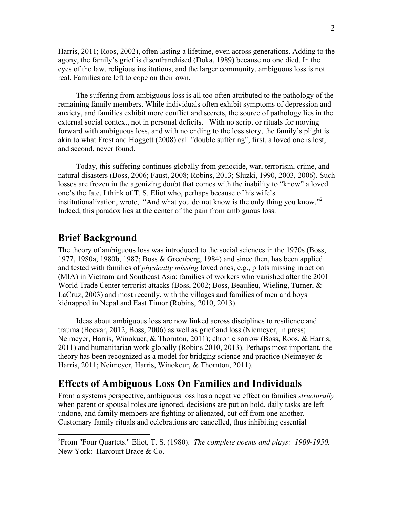Harris, 2011; Roos, 2002), often lasting a lifetime, even across generations. Adding to the agony, the family's grief is disenfranchised (Doka, 1989) because no one died. In the eyes of the law, religious institutions, and the larger community, ambiguous loss is not real. Families are left to cope on their own.

The suffering from ambiguous loss is all too often attributed to the pathology of the remaining family members. While individuals often exhibit symptoms of depression and anxiety, and families exhibit more conflict and secrets, the source of pathology lies in the external social context, not in personal deficits. With no script or rituals for moving forward with ambiguous loss, and with no ending to the loss story, the family's plight is akin to what Frost and Hoggett (2008) call "double suffering"; first, a loved one is lost, and second, never found.

Today, this suffering continues globally from genocide, war, terrorism, crime, and natural disasters (Boss, 2006; Faust, 2008; Robins, 2013; Sluzki, 1990, 2003, 2006). Such losses are frozen in the agonizing doubt that comes with the inability to "know" a loved one's the fate. I think of T. S. Eliot who, perhaps because of his wife's institutionalization, wrote, "And what you do not know is the only thing you know."<sup>2</sup> Indeed, this paradox lies at the center of the pain from ambiguous loss.

# **Brief Background**

The theory of ambiguous loss was introduced to the social sciences in the 1970s (Boss, 1977, 1980a, 1980b, 1987; Boss & Greenberg, 1984) and since then, has been applied and tested with families of *physically missing* loved ones, e.g., pilots missing in action (MIA) in Vietnam and Southeast Asia; families of workers who vanished after the 2001 World Trade Center terrorist attacks (Boss, 2002; Boss, Beaulieu, Wieling, Turner, & LaCruz, 2003) and most recently, with the villages and families of men and boys kidnapped in Nepal and East Timor (Robins, 2010, 2013).

Ideas about ambiguous loss are now linked across disciplines to resilience and trauma (Becvar, 2012; Boss, 2006) as well as grief and loss (Niemeyer, in press; Neimeyer, Harris, Winokuer, & Thornton, 2011); chronic sorrow (Boss, Roos, & Harris, 2011) and humanitarian work globally (Robins 2010, 2013). Perhaps most important, the theory has been recognized as a model for bridging science and practice (Neimeyer & Harris, 2011; Neimeyer, Harris, Winokeur, & Thornton, 2011).

## **Effects of Ambiguous Loss On Families and Individuals**

From a systems perspective, ambiguous loss has a negative effect on families *structurally* when parent or spousal roles are ignored, decisions are put on hold, daily tasks are left undone, and family members are fighting or alienated, cut off from one another. Customary family rituals and celebrations are cancelled, thus inhibiting essential

 <sup>2</sup> From "Four Quartets." Eliot, T. S. (1980). *The complete poems and plays: 1909-1950.* New York: Harcourt Brace & Co.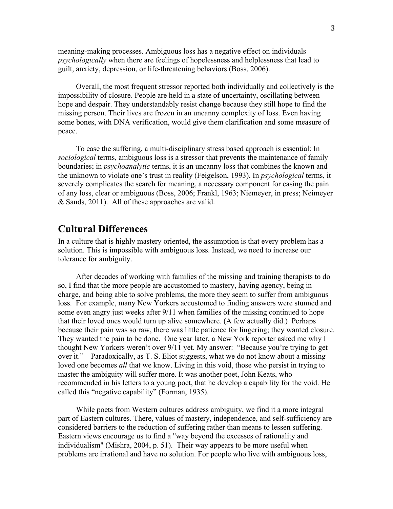meaning-making processes. Ambiguous loss has a negative effect on individuals *psychologically* when there are feelings of hopelessness and helplessness that lead to guilt, anxiety, depression, or life-threatening behaviors (Boss, 2006).

Overall, the most frequent stressor reported both individually and collectively is the impossibility of closure. People are held in a state of uncertainty, oscillating between hope and despair. They understandably resist change because they still hope to find the missing person. Their lives are frozen in an uncanny complexity of loss. Even having some bones, with DNA verification, would give them clarification and some measure of peace.

To ease the suffering, a multi-disciplinary stress based approach is essential: In *sociological* terms, ambiguous loss is a stressor that prevents the maintenance of family boundaries; in *psychoanalytic* terms, it is an uncanny loss that combines the known and the unknown to violate one's trust in reality (Feigelson, 1993). In *psychological* terms, it severely complicates the search for meaning, a necessary component for easing the pain of any loss, clear or ambiguous (Boss, 2006; Frankl, 1963; Niemeyer, in press; Neimeyer & Sands, 2011). All of these approaches are valid.

### **Cultural Differences**

In a culture that is highly mastery oriented, the assumption is that every problem has a solution. This is impossible with ambiguous loss. Instead, we need to increase our tolerance for ambiguity.

After decades of working with families of the missing and training therapists to do so, I find that the more people are accustomed to mastery, having agency, being in charge, and being able to solve problems, the more they seem to suffer from ambiguous loss. For example, many New Yorkers accustomed to finding answers were stunned and some even angry just weeks after 9/11 when families of the missing continued to hope that their loved ones would turn up alive somewhere. (A few actually did.) Perhaps because their pain was so raw, there was little patience for lingering; they wanted closure. They wanted the pain to be done. One year later, a New York reporter asked me why I thought New Yorkers weren't over 9/11 yet. My answer: "Because you're trying to get over it." Paradoxically, as T. S. Eliot suggests, what we do not know about a missing loved one becomes *all* that we know. Living in this void, those who persist in trying to master the ambiguity will suffer more. It was another poet, John Keats, who recommended in his letters to a young poet, that he develop a capability for the void. He called this "negative capability" (Forman, 1935).

While poets from Western cultures address ambiguity, we find it a more integral part of Eastern cultures. There, values of mastery, independence, and self-sufficiency are considered barriers to the reduction of suffering rather than means to lessen suffering. Eastern views encourage us to find a "way beyond the excesses of rationality and individualism" (Mishra, 2004, p. 51). Their way appears to be more useful when problems are irrational and have no solution. For people who live with ambiguous loss,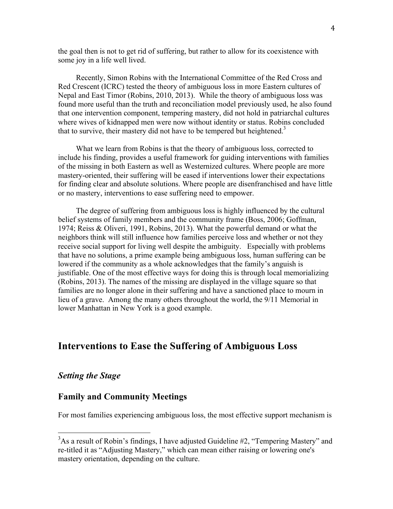the goal then is not to get rid of suffering, but rather to allow for its coexistence with some joy in a life well lived.

Recently, Simon Robins with the International Committee of the Red Cross and Red Crescent (ICRC) tested the theory of ambiguous loss in more Eastern cultures of Nepal and East Timor (Robins, 2010, 2013). While the theory of ambiguous loss was found more useful than the truth and reconciliation model previously used, he also found that one intervention component, tempering mastery, did not hold in patriarchal cultures where wives of kidnapped men were now without identity or status. Robins concluded that to survive, their mastery did not have to be tempered but heightened.<sup>3</sup>

What we learn from Robins is that the theory of ambiguous loss, corrected to include his finding, provides a useful framework for guiding interventions with families of the missing in both Eastern as well as Westernized cultures. Where people are more mastery-oriented, their suffering will be eased if interventions lower their expectations for finding clear and absolute solutions. Where people are disenfranchised and have little or no mastery, interventions to ease suffering need to empower.

The degree of suffering from ambiguous loss is highly influenced by the cultural belief systems of family members and the community frame (Boss, 2006; Goffman, 1974; Reiss & Oliveri, 1991, Robins, 2013). What the powerful demand or what the neighbors think will still influence how families perceive loss and whether or not they receive social support for living well despite the ambiguity. Especially with problems that have no solutions, a prime example being ambiguous loss, human suffering can be lowered if the community as a whole acknowledges that the family's anguish is justifiable. One of the most effective ways for doing this is through local memorializing (Robins, 2013). The names of the missing are displayed in the village square so that families are no longer alone in their suffering and have a sanctioned place to mourn in lieu of a grave. Among the many others throughout the world, the 9/11 Memorial in lower Manhattan in New York is a good example.

### **Interventions to Ease the Suffering of Ambiguous Loss**

#### *Setting the Stage*

### **Family and Community Meetings**

For most families experiencing ambiguous loss, the most effective support mechanism is

<sup>&</sup>lt;sup>3</sup>As a result of Robin's findings, I have adjusted Guideline #2, "Tempering Mastery" and re-titled it as "Adjusting Mastery," which can mean either raising or lowering one's mastery orientation, depending on the culture.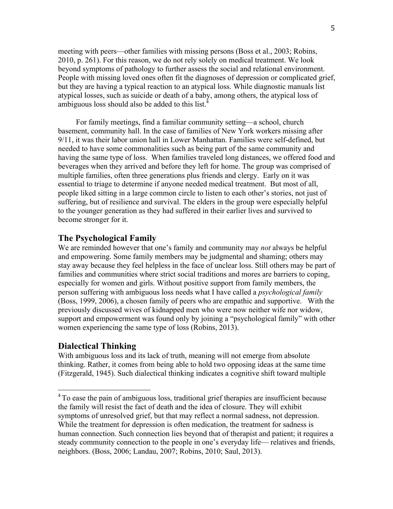meeting with peers—other families with missing persons (Boss et al., 2003; Robins, 2010, p. 261). For this reason, we do not rely solely on medical treatment. We look beyond symptoms of pathology to further assess the social and relational environment. People with missing loved ones often fit the diagnoses of depression or complicated grief, but they are having a typical reaction to an atypical loss. While diagnostic manuals list atypical losses, such as suicide or death of a baby, among others, the atypical loss of ambiguous loss should also be added to this list.

For family meetings, find a familiar community setting—a school, church basement, community hall. In the case of families of New York workers missing after 9/11, it was their labor union hall in Lower Manhattan. Families were self-defined, but needed to have some commonalities such as being part of the same community and having the same type of loss. When families traveled long distances, we offered food and beverages when they arrived and before they left for home. The group was comprised of multiple families, often three generations plus friends and clergy. Early on it was essential to triage to determine if anyone needed medical treatment. But most of all, people liked sitting in a large common circle to listen to each other's stories, not just of suffering, but of resilience and survival. The elders in the group were especially helpful to the younger generation as they had suffered in their earlier lives and survived to become stronger for it.

#### **The Psychological Family**

We are reminded however that one's family and community may *not* always be helpful and empowering. Some family members may be judgmental and shaming; others may stay away because they feel helpless in the face of unclear loss. Still others may be part of families and communities where strict social traditions and mores are barriers to coping, especially for women and girls. Without positive support from family members, the person suffering with ambiguous loss needs what I have called a *psychological family* (Boss, 1999, 2006), a chosen family of peers who are empathic and supportive. With the previously discussed wives of kidnapped men who were now neither wife nor widow, support and empowerment was found only by joining a "psychological family" with other women experiencing the same type of loss (Robins, 2013).

### **Dialectical Thinking**

With ambiguous loss and its lack of truth, meaning will not emerge from absolute thinking. Rather, it comes from being able to hold two opposing ideas at the same time (Fitzgerald, 1945). Such dialectical thinking indicates a cognitive shift toward multiple

 $4$ To ease the pain of ambiguous loss, traditional grief therapies are insufficient because the family will resist the fact of death and the idea of closure. They will exhibit symptoms of unresolved grief, but that may reflect a normal sadness, not depression. While the treatment for depression is often medication, the treatment for sadness is human connection. Such connection lies beyond that of therapist and patient; it requires a steady community connection to the people in one's everyday life— relatives and friends, neighbors. (Boss, 2006; Landau, 2007; Robins, 2010; Saul, 2013).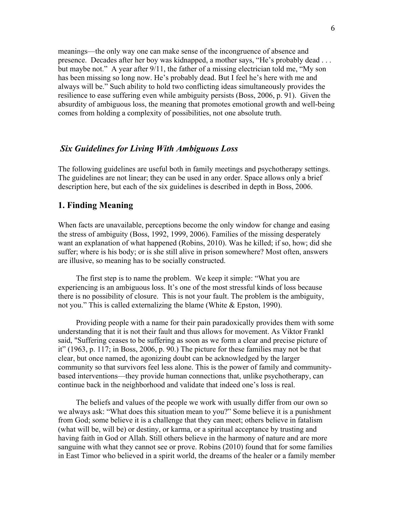meanings—the only way one can make sense of the incongruence of absence and presence. Decades after her boy was kidnapped, a mother says, "He's probably dead . . . but maybe not." A year after 9/11, the father of a missing electrician told me, "My son has been missing so long now. He's probably dead. But I feel he's here with me and always will be." Such ability to hold two conflicting ideas simultaneously provides the resilience to ease suffering even while ambiguity persists (Boss, 2006, p. 91). Given the absurdity of ambiguous loss, the meaning that promotes emotional growth and well-being comes from holding a complexity of possibilities, not one absolute truth.

### *Six Guidelines for Living With Ambiguous Loss*

The following guidelines are useful both in family meetings and psychotherapy settings. The guidelines are not linear; they can be used in any order. Space allows only a brief description here, but each of the six guidelines is described in depth in Boss, 2006.

### **1. Finding Meaning**

When facts are unavailable, perceptions become the only window for change and easing the stress of ambiguity (Boss, 1992, 1999, 2006). Families of the missing desperately want an explanation of what happened (Robins, 2010). Was he killed; if so, how; did she suffer; where is his body; or is she still alive in prison somewhere? Most often, answers are illusive, so meaning has to be socially constructed.

The first step is to name the problem. We keep it simple: "What you are experiencing is an ambiguous loss. It's one of the most stressful kinds of loss because there is no possibility of closure. This is not your fault. The problem is the ambiguity, not you." This is called externalizing the blame (White & Epston, 1990).

Providing people with a name for their pain paradoxically provides them with some understanding that it is not their fault and thus allows for movement. As Viktor Frankl said, "Suffering ceases to be suffering as soon as we form a clear and precise picture of it" (1963, p. 117; in Boss, 2006, p. 90.) The picture for these families may not be that clear, but once named, the agonizing doubt can be acknowledged by the larger community so that survivors feel less alone. This is the power of family and communitybased interventions—they provide human connections that, unlike psychotherapy, can continue back in the neighborhood and validate that indeed one's loss is real.

The beliefs and values of the people we work with usually differ from our own so we always ask: "What does this situation mean to you?" Some believe it is a punishment from God; some believe it is a challenge that they can meet; others believe in fatalism (what will be, will be) or destiny, or karma, or a spiritual acceptance by trusting and having faith in God or Allah. Still others believe in the harmony of nature and are more sanguine with what they cannot see or prove. Robins (2010) found that for some families in East Timor who believed in a spirit world, the dreams of the healer or a family member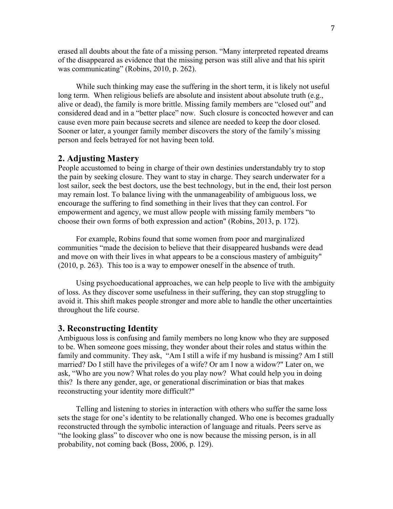erased all doubts about the fate of a missing person. "Many interpreted repeated dreams of the disappeared as evidence that the missing person was still alive and that his spirit was communicating" (Robins, 2010, p. 262).

While such thinking may ease the suffering in the short term, it is likely not useful long term. When religious beliefs are absolute and insistent about absolute truth (e.g., alive or dead), the family is more brittle. Missing family members are "closed out" and considered dead and in a "better place" now. Such closure is concocted however and can cause even more pain because secrets and silence are needed to keep the door closed. Sooner or later, a younger family member discovers the story of the family's missing person and feels betrayed for not having been told.

#### **2. Adjusting Mastery**

People accustomed to being in charge of their own destinies understandably try to stop the pain by seeking closure. They want to stay in charge. They search underwater for a lost sailor, seek the best doctors, use the best technology, but in the end, their lost person may remain lost. To balance living with the unmanageability of ambiguous loss, we encourage the suffering to find something in their lives that they can control. For empowerment and agency, we must allow people with missing family members "to choose their own forms of both expression and action" (Robins, 2013, p. 172).

For example, Robins found that some women from poor and marginalized communities "made the decision to believe that their disappeared husbands were dead and move on with their lives in what appears to be a conscious mastery of ambiguity" (2010, p. 263). This too is a way to empower oneself in the absence of truth.

Using psychoeducational approaches, we can help people to live with the ambiguity of loss. As they discover some usefulness in their suffering, they can stop struggling to avoid it. This shift makes people stronger and more able to handle the other uncertainties throughout the life course.

#### **3. Reconstructing Identity**

Ambiguous loss is confusing and family members no long know who they are supposed to be. When someone goes missing, they wonder about their roles and status within the family and community. They ask, "Am I still a wife if my husband is missing? Am I still married? Do I still have the privileges of a wife? Or am I now a widow?" Later on, we ask, "Who are you now? What roles do you play now? What could help you in doing this? Is there any gender, age, or generational discrimination or bias that makes reconstructing your identity more difficult?"

Telling and listening to stories in interaction with others who suffer the same loss sets the stage for one's identity to be relationally changed. Who one is becomes gradually reconstructed through the symbolic interaction of language and rituals. Peers serve as "the looking glass" to discover who one is now because the missing person, is in all probability, not coming back (Boss, 2006, p. 129).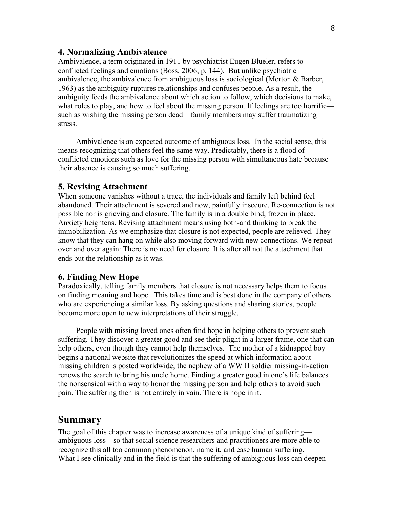#### **4. Normalizing Ambivalence**

Ambivalence, a term originated in 1911 by psychiatrist Eugen Blueler, refers to conflicted feelings and emotions (Boss, 2006, p. 144). But unlike psychiatric ambivalence, the ambivalence from ambiguous loss is sociological (Merton & Barber, 1963) as the ambiguity ruptures relationships and confuses people. As a result, the ambiguity feeds the ambivalence about which action to follow, which decisions to make, what roles to play, and how to feel about the missing person. If feelings are too horrific such as wishing the missing person dead—family members may suffer traumatizing stress.

Ambivalence is an expected outcome of ambiguous loss. In the social sense, this means recognizing that others feel the same way. Predictably, there is a flood of conflicted emotions such as love for the missing person with simultaneous hate because their absence is causing so much suffering.

#### **5. Revising Attachment**

When someone vanishes without a trace, the individuals and family left behind feel abandoned. Their attachment is severed and now, painfully insecure. Re-connection is not possible nor is grieving and closure. The family is in a double bind, frozen in place. Anxiety heightens. Revising attachment means using both-and thinking to break the immobilization. As we emphasize that closure is not expected, people are relieved. They know that they can hang on while also moving forward with new connections. We repeat over and over again: There is no need for closure. It is after all not the attachment that ends but the relationship as it was.

### **6. Finding New Hope**

Paradoxically, telling family members that closure is not necessary helps them to focus on finding meaning and hope. This takes time and is best done in the company of others who are experiencing a similar loss. By asking questions and sharing stories, people become more open to new interpretations of their struggle.

People with missing loved ones often find hope in helping others to prevent such suffering. They discover a greater good and see their plight in a larger frame, one that can help others, even though they cannot help themselves. The mother of a kidnapped boy begins a national website that revolutionizes the speed at which information about missing children is posted worldwide; the nephew of a WW II soldier missing-in-action renews the search to bring his uncle home. Finding a greater good in one's life balances the nonsensical with a way to honor the missing person and help others to avoid such pain. The suffering then is not entirely in vain. There is hope in it.

### **Summary**

The goal of this chapter was to increase awareness of a unique kind of suffering ambiguous loss—so that social science researchers and practitioners are more able to recognize this all too common phenomenon, name it, and ease human suffering. What I see clinically and in the field is that the suffering of ambiguous loss can deepen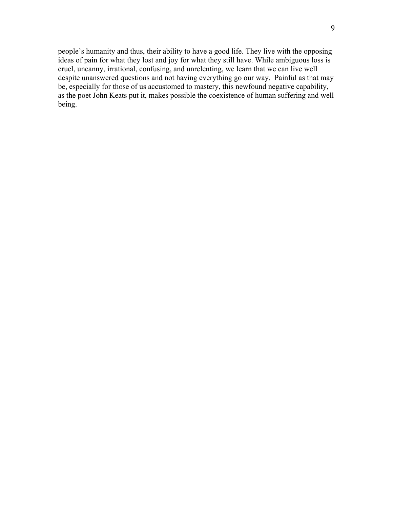people's humanity and thus, their ability to have a good life. They live with the opposing ideas of pain for what they lost and joy for what they still have. While ambiguous loss is cruel, uncanny, irrational, confusing, and unrelenting, we learn that we can live well despite unanswered questions and not having everything go our way. Painful as that may be, especially for those of us accustomed to mastery, this newfound negative capability, as the poet John Keats put it, makes possible the coexistence of human suffering and well being.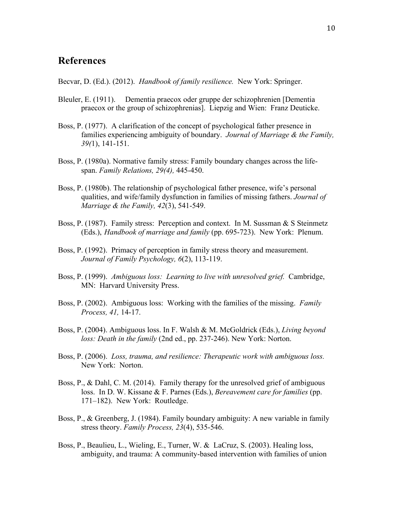# **References**

Becvar, D. (Ed.). (2012). *Handbook of family resilience.* New York: Springer.

- Bleuler, E. (1911). Dementia praecox oder gruppe der schizophrenien [Dementia praecox or the group of schizophrenias]. Liepzig and Wien: Franz Deuticke.
- Boss, P. (1977). A clarification of the concept of psychological father presence in families experiencing ambiguity of boundary. *Journal of Marriage & the Family, 39(*1), 141-151.
- Boss, P. (1980a). Normative family stress: Family boundary changes across the lifespan. *Family Relations, 29(4),* 445-450.
- Boss, P. (1980b). The relationship of psychological father presence, wife's personal qualities, and wife/family dysfunction in families of missing fathers. *Journal of Marriage & the Family, 42*(3), 541-549.
- Boss, P. (1987). Family stress: Perception and context. In M. Sussman & S Steinmetz (Eds.), *Handbook of marriage and family* (pp. 695-723). New York: Plenum.
- Boss, P. (1992). Primacy of perception in family stress theory and measurement. *Journal of Family Psychology, 6*(2), 113-119.
- Boss, P. (1999). *Ambiguous loss: Learning to live with unresolved grief.* Cambridge, MN: Harvard University Press.
- Boss, P. (2002). Ambiguous loss: Working with the families of the missing. *Family Process, 41,* 14-17.
- Boss, P. (2004). Ambiguous loss. In F. Walsh & M. McGoldrick (Eds.), *Living beyond loss: Death in the family* (2nd ed., pp. 237-246). New York: Norton.
- Boss, P. (2006). *Loss, trauma, and resilience: Therapeutic work with ambiguous loss.*  New York: Norton.
- Boss, P., & Dahl, C. M. (2014). Family therapy for the unresolved grief of ambiguous loss. In D. W. Kissane & F. Parnes (Eds.), *Bereavement care for families* (pp. 171–182). New York: Routledge.
- Boss, P., & Greenberg, J. (1984). Family boundary ambiguity: A new variable in family stress theory. *Family Process, 23*(4), 535-546.
- Boss, P., Beaulieu, L., Wieling, E., Turner, W. & LaCruz, S. (2003). Healing loss, ambiguity, and trauma: A community-based intervention with families of union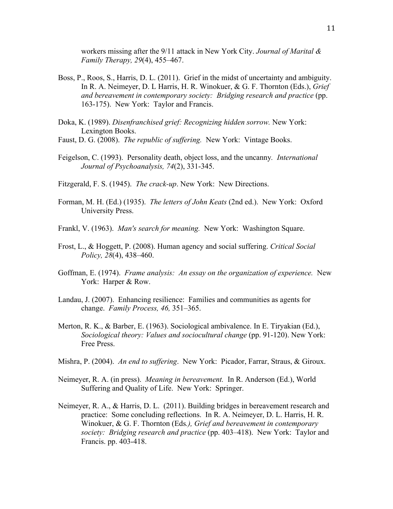workers missing after the 9/11 attack in New York City. *Journal of Marital & Family Therapy, 29*(4), 455–467.

- Boss, P., Roos, S., Harris, D. L. (2011). Grief in the midst of uncertainty and ambiguity. In R. A. Neimeyer, D. L Harris, H. R. Winokuer, & G. F. Thornton (Eds.), *Grief and bereavement in contemporary society: Bridging research and practice* (pp. 163-175). New York: Taylor and Francis.
- Doka, K. (1989). *Disenfranchised grief: Recognizing hidden sorrow.* New York: Lexington Books.
- Faust, D. G. (2008). *The republic of suffering.* New York: Vintage Books.
- Feigelson, C. (1993). Personality death, object loss, and the uncanny*. International Journal of Psychoanalysis, 74*(2), 331-345.
- Fitzgerald, F. S. (1945). *The crack-up*. New York: New Directions.
- Forman, M. H. (Ed.) (1935). *The letters of John Keats* (2nd ed.). New York: Oxford University Press.
- Frankl, V. (1963). *Man's search for meaning.* New York: Washington Square.
- Frost, L., & Hoggett, P. (2008). Human agency and social suffering. *Critical Social Policy, 28*(4), 438–460.
- Goffman, E. (1974). *Frame analysis: An essay on the organization of experience.* New York: Harper & Row.
- Landau, J. (2007). Enhancing resilience: Families and communities as agents for change. *Family Process, 46,* 351–365.
- Merton, R. K., & Barber, E. (1963). Sociological ambivalence. In E. Tiryakian (Ed.), *Sociological theory: Values and sociocultural change* (pp. 91-120). New York: Free Press.
- Mishra, P. (2004). *An end to suffering*. New York: Picador, Farrar, Straus, & Giroux.
- Neimeyer, R. A. (in press). *Meaning in bereavement.* In R. Anderson (Ed.), World Suffering and Quality of Life. New York: Springer.
- Neimeyer, R. A., & Harris, D. L. (2011). Building bridges in bereavement research and practice: Some concluding reflections. In R. A. Neimeyer, D. L. Harris, H. R. Winokuer, & G. F. Thornton (Eds*.), Grief and bereavement in contemporary society: Bridging research and practice* (pp. 403–418). New York: Taylor and Francis. pp. 403-418.